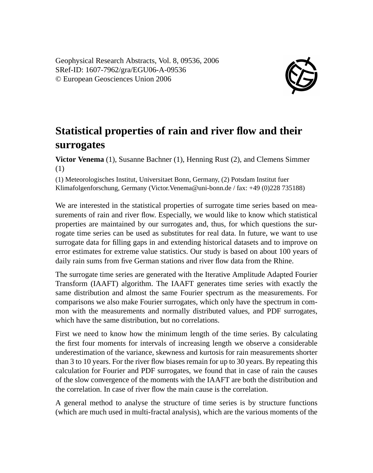

## **Statistical properties of rain and river flow and their surrogates**

**Victor Venema** (1), Susanne Bachner (1), Henning Rust (2), and Clemens Simmer (1)

(1) Meteorologisches Institut, Universitaet Bonn, Germany, (2) Potsdam Institut fuer Klimafolgenforschung, Germany (Victor.Venema@uni-bonn.de / fax: +49 (0)228 735188)

We are interested in the statistical properties of surrogate time series based on measurements of rain and river flow. Especially, we would like to know which statistical properties are maintained by our surrogates and, thus, for which questions the surrogate time series can be used as substitutes for real data. In future, we want to use surrogate data for filling gaps in and extending historical datasets and to improve on error estimates for extreme value statistics. Our study is based on about 100 years of daily rain sums from five German stations and river flow data from the Rhine.

The surrogate time series are generated with the Iterative Amplitude Adapted Fourier Transform (IAAFT) algorithm. The IAAFT generates time series with exactly the same distribution and almost the same Fourier spectrum as the measurements. For comparisons we also make Fourier surrogates, which only have the spectrum in common with the measurements and normally distributed values, and PDF surrogates, which have the same distribution, but no correlations.

First we need to know how the minimum length of the time series. By calculating the first four moments for intervals of increasing length we observe a considerable underestimation of the variance, skewness and kurtosis for rain measurements shorter than 3 to 10 years. For the river flow biases remain for up to 30 years. By repeating this calculation for Fourier and PDF surrogates, we found that in case of rain the causes of the slow convergence of the moments with the IAAFT are both the distribution and the correlation. In case of river flow the main cause is the correlation.

A general method to analyse the structure of time series is by structure functions (which are much used in multi-fractal analysis), which are the various moments of the